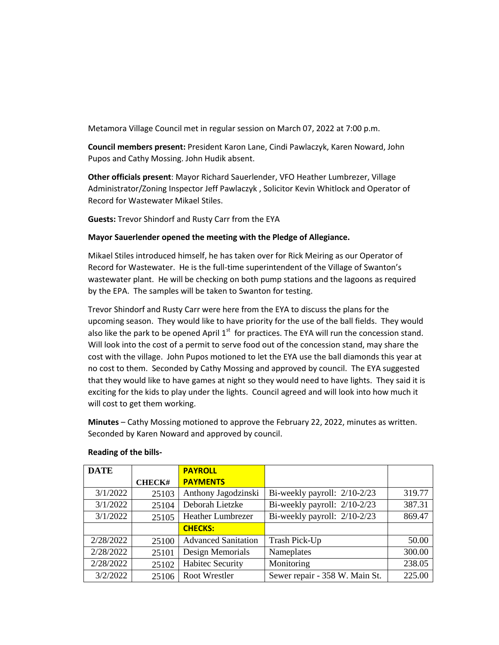Metamora Village Council met in regular session on March 07, 2022 at 7:00 p.m.

**Council members present:** President Karon Lane, Cindi Pawlaczyk, Karen Noward, John Pupos and Cathy Mossing. John Hudik absent.

**Other officials present**: Mayor Richard Sauerlender, VFO Heather Lumbrezer, Village Administrator/Zoning Inspector Jeff Pawlaczyk , Solicitor Kevin Whitlock and Operator of Record for Wastewater Mikael Stiles.

**Guests:** Trevor Shindorf and Rusty Carr from the EYA

## **Mayor Sauerlender opened the meeting with the Pledge of Allegiance.**

Mikael Stiles introduced himself, he has taken over for Rick Meiring as our Operator of Record for Wastewater. He is the full-time superintendent of the Village of Swanton's wastewater plant. He will be checking on both pump stations and the lagoons as required by the EPA. The samples will be taken to Swanton for testing.

Trevor Shindorf and Rusty Carr were here from the EYA to discuss the plans for the upcoming season. They would like to have priority for the use of the ball fields. They would also like the park to be opened April  $1^{st}$  for practices. The EYA will run the concession stand. Will look into the cost of a permit to serve food out of the concession stand, may share the cost with the village. John Pupos motioned to let the EYA use the ball diamonds this year at no cost to them. Seconded by Cathy Mossing and approved by council. The EYA suggested that they would like to have games at night so they would need to have lights. They said it is exciting for the kids to play under the lights. Council agreed and will look into how much it will cost to get them working.

**Minutes** – Cathy Mossing motioned to approve the February 22, 2022, minutes as written. Seconded by Karen Noward and approved by council.

| <b>DATE</b> |               | <b>PAYROLL</b>             |                                |        |
|-------------|---------------|----------------------------|--------------------------------|--------|
|             | <b>CHECK#</b> | <b>PAYMENTS</b>            |                                |        |
| 3/1/2022    | 25103         | Anthony Jagodzinski        | Bi-weekly payroll: 2/10-2/23   | 319.77 |
| 3/1/2022    | 25104         | Deborah Lietzke            | Bi-weekly payroll: 2/10-2/23   | 387.31 |
| 3/1/2022    | 25105         | <b>Heather Lumbrezer</b>   | Bi-weekly payroll: 2/10-2/23   | 869.47 |
|             |               | <b>CHECKS:</b>             |                                |        |
| 2/28/2022   | 25100         | <b>Advanced Sanitation</b> | Trash Pick-Up                  | 50.00  |
| 2/28/2022   | 25101         | Design Memorials           | Nameplates                     | 300.00 |
| 2/28/2022   | 25102         | Habitec Security           | Monitoring                     | 238.05 |
| 3/2/2022    | 25106         | Root Wrestler              | Sewer repair - 358 W. Main St. | 225.00 |

## **Reading of the bills-**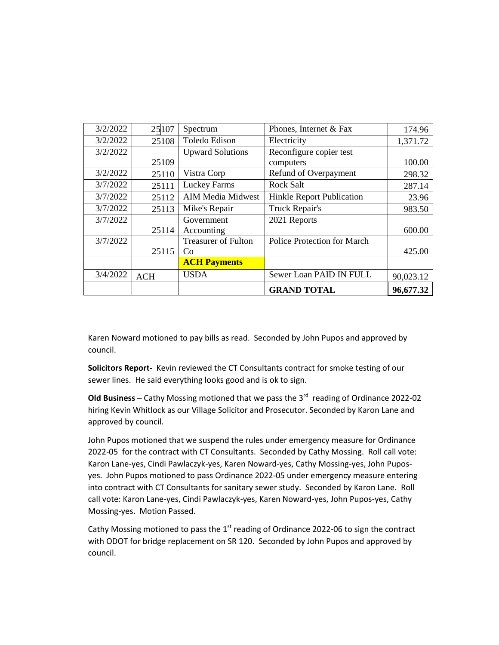| 3/2/2022 | 25107      | Spectrum                   | Phones, Internet & Fax             | 174.96    |
|----------|------------|----------------------------|------------------------------------|-----------|
| 3/2/2022 | 25108      | Toledo Edison              | Electricity                        | 1,371.72  |
| 3/2/2022 |            | <b>Upward Solutions</b>    | Reconfigure copier test            |           |
|          | 25109      |                            | computers                          | 100.00    |
| 3/2/2022 | 25110      | Vistra Corp                | Refund of Overpayment              | 298.32    |
| 3/7/2022 | 25111      | <b>Luckey Farms</b>        | <b>Rock Salt</b>                   | 287.14    |
| 3/7/2022 | 25112      | <b>AIM Media Midwest</b>   | Hinkle Report Publication          | 23.96     |
| 3/7/2022 | 25113      | Mike's Repair              | Truck Repair's                     | 983.50    |
| 3/7/2022 |            | Government                 | 2021 Reports                       |           |
|          | 25114      | Accounting                 |                                    | 600.00    |
| 3/7/2022 |            | <b>Treasurer of Fulton</b> | <b>Police Protection for March</b> |           |
|          | 25115      | C <sub>0</sub>             |                                    | 425.00    |
|          |            | <b>ACH Payments</b>        |                                    |           |
| 3/4/2022 | <b>ACH</b> | <b>USDA</b>                | Sewer Loan PAID IN FULL            | 90,023.12 |
|          |            |                            | <b>GRAND TOTAL</b>                 | 96,677.32 |

Karen Noward motioned to pay bills as read. Seconded by John Pupos and approved by council.

**Solicitors Report-** Kevin reviewed the CT Consultants contract for smoke testing of our sewer lines. He said everything looks good and is ok to sign.

Old Business – Cathy Mossing motioned that we pass the 3<sup>rd</sup> reading of Ordinance 2022-02 hiring Kevin Whitlock as our Village Solicitor and Prosecutor. Seconded by Karon Lane and approved by council.

John Pupos motioned that we suspend the rules under emergency measure for Ordinance 2022-05 for the contract with CT Consultants. Seconded by Cathy Mossing. Roll call vote: Karon Lane-yes, Cindi Pawlaczyk-yes, Karen Noward-yes, Cathy Mossing-yes, John Puposyes. John Pupos motioned to pass Ordinance 2022-05 under emergency measure entering into contract with CT Consultants for sanitary sewer study. Seconded by Karon Lane. Roll call vote: Karon Lane-yes, Cindi Pawlaczyk-yes, Karen Noward-yes, John Pupos-yes, Cathy Mossing-yes. Motion Passed.

Cathy Mossing motioned to pass the  $1<sup>st</sup>$  reading of Ordinance 2022-06 to sign the contract with ODOT for bridge replacement on SR 120. Seconded by John Pupos and approved by council.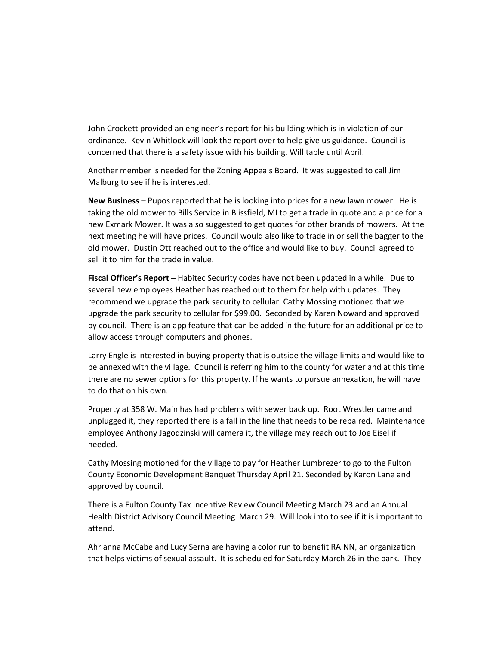John Crockett provided an engineer's report for his building which is in violation of our ordinance. Kevin Whitlock will look the report over to help give us guidance. Council is concerned that there is a safety issue with his building. Will table until April.

Another member is needed for the Zoning Appeals Board. It was suggested to call Jim Malburg to see if he is interested.

**New Business** – Pupos reported that he is looking into prices for a new lawn mower. He is taking the old mower to Bills Service in Blissfield, MI to get a trade in quote and a price for a new Exmark Mower. It was also suggested to get quotes for other brands of mowers. At the next meeting he will have prices. Council would also like to trade in or sell the bagger to the old mower. Dustin Ott reached out to the office and would like to buy. Council agreed to sell it to him for the trade in value.

**Fiscal Officer's Report** – Habitec Security codes have not been updated in a while. Due to several new employees Heather has reached out to them for help with updates. They recommend we upgrade the park security to cellular. Cathy Mossing motioned that we upgrade the park security to cellular for \$99.00. Seconded by Karen Noward and approved by council. There is an app feature that can be added in the future for an additional price to allow access through computers and phones.

Larry Engle is interested in buying property that is outside the village limits and would like to be annexed with the village. Council is referring him to the county for water and at this time there are no sewer options for this property. If he wants to pursue annexation, he will have to do that on his own.

Property at 358 W. Main has had problems with sewer back up. Root Wrestler came and unplugged it, they reported there is a fall in the line that needs to be repaired. Maintenance employee Anthony Jagodzinski will camera it, the village may reach out to Joe Eisel if needed.

Cathy Mossing motioned for the village to pay for Heather Lumbrezer to go to the Fulton County Economic Development Banquet Thursday April 21. Seconded by Karon Lane and approved by council.

There is a Fulton County Tax Incentive Review Council Meeting March 23 and an Annual Health District Advisory Council Meeting March 29. Will look into to see if it is important to attend.

Ahrianna McCabe and Lucy Serna are having a color run to benefit RAINN, an organization that helps victims of sexual assault. It is scheduled for Saturday March 26 in the park. They